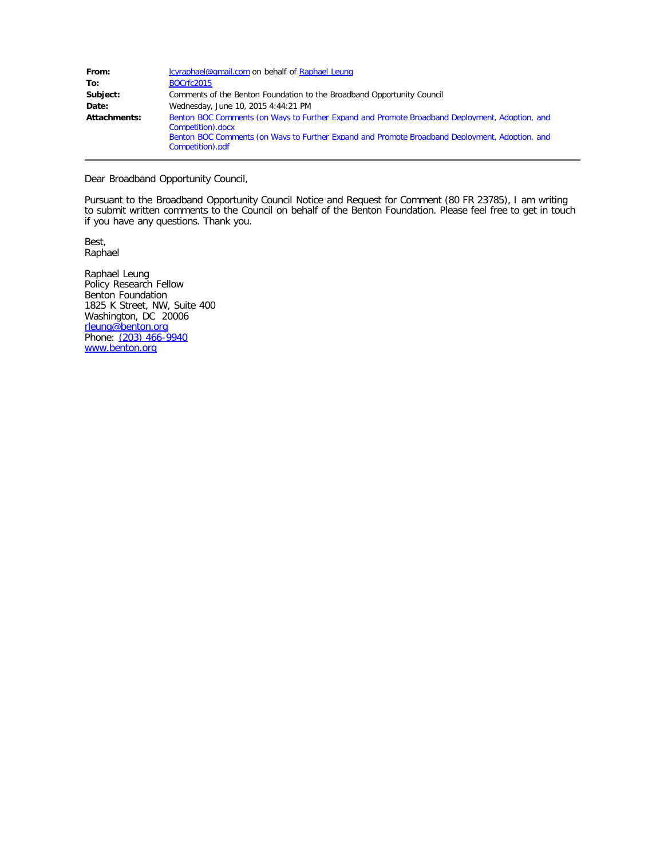| From:        | cyraphael@gmail.com on behalf of Raphael Leung                                                                      |
|--------------|---------------------------------------------------------------------------------------------------------------------|
| To:          | <b>BOCrfc2015</b>                                                                                                   |
| Subject:     | Comments of the Benton Foundation to the Broadband Opportunity Council                                              |
| Date:        | Wednesday, June 10, 2015 4:44:21 PM                                                                                 |
| Attachments: | Benton BOC Comments (on Ways to Further Expand and Promote Broadband Deployment, Adoption, and<br>Competition).docx |
|              | Benton BOC Comments (on Ways to Further Expand and Promote Broadband Deployment, Adoption, and<br>Competition).pdf  |

Dear Broadband Opportunity Council,

Pursuant to the Broadband Opportunity Council Notice and Request for Comment (80 FR 23785), I am writing to submit written comments to the Council on behalf of the Benton Foundation. Please feel free to get in touch if you have any questions. Thank you.

Best, Raphael

Raphael Leung Policy Research Fellow Benton Foundation 1825 K Street, NW, Suite 400 Washington, DC 20006 [rleung@benton.org](mailto:amina@benton.org) Phone: <u>[\(203\) 466-9940](tel:%28203%29%20466-9940)</u> [www.benton.org](http://www.benton.org/)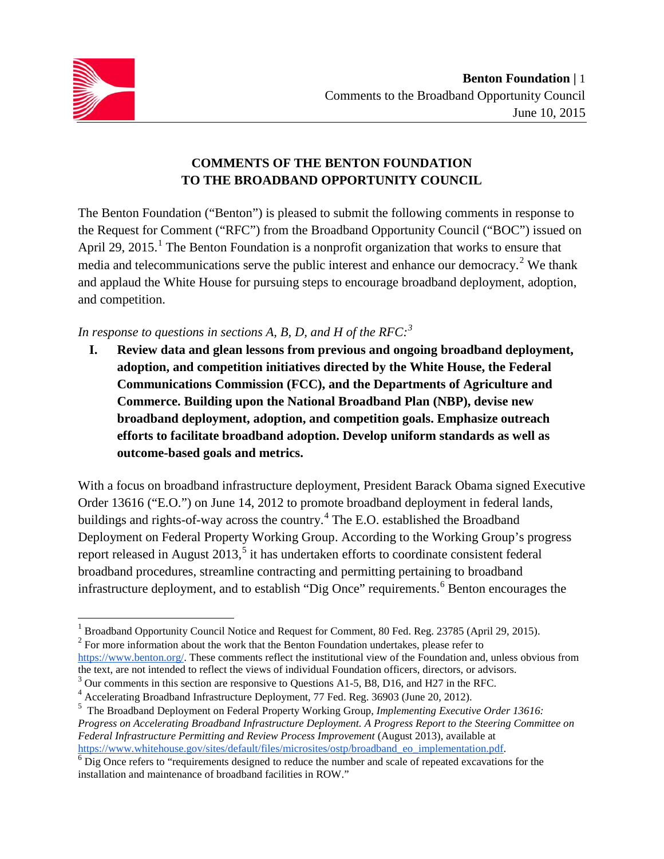

## **COMMENTS OF THE BENTON FOUNDATION TO THE BROADBAND OPPORTUNITY COUNCIL**

The Benton Foundation ("Benton") is pleased to submit the following comments in response to the Request for Comment ("RFC") from the Broadband Opportunity Council ("BOC") issued on April 29, 20[1](#page-1-0)5.<sup>1</sup> The Benton Foundation is a nonprofit organization that works to ensure that media and telecommunications serve the public interest and enhance our democracy.<sup>[2](#page-1-1)</sup> We thank and applaud the White House for pursuing steps to encourage broadband deployment, adoption, and competition.

## *In response to questions in sections A, B, D, and H of the RFC:[3](#page-1-2)*

**I. Review data and glean lessons from previous and ongoing broadband deployment, adoption, and competition initiatives directed by the White House, the Federal Communications Commission (FCC), and the Departments of Agriculture and Commerce. Building upon the National Broadband Plan (NBP), devise new broadband deployment, adoption, and competition goals. Emphasize outreach efforts to facilitate broadband adoption. Develop uniform standards as well as outcome-based goals and metrics.**

With a focus on broadband infrastructure deployment, President Barack Obama signed Executive Order 13616 ("E.O.") on June 14, 2012 to promote broadband deployment in federal lands, buildings and rights-of-way across the country.[4](#page-1-3) The E.O. established the Broadband Deployment on Federal Property Working Group. According to the Working Group's progress report released in August 2013,<sup>[5](#page-1-4)</sup> it has undertaken efforts to coordinate consistent federal broadband procedures, streamline contracting and permitting pertaining to broadband infrastructure deployment, and to establish "Dig Once" requirements. [6](#page-1-5) Benton encourages the

<span id="page-1-0"></span><sup>&</sup>lt;sup>1</sup> Broadband Opportunity Council Notice and Request for Comment, 80 Fed. Reg. 23785 (April 29, 2015).

<span id="page-1-1"></span> $2^2$  For more information about the work that the Benton Foundation undertakes, please refer to

[https://www.benton.org/.](https://www.benton.org/) These comments reflect the institutional view of the Foundation and, unless obvious from the text, are not intended to reflect the views of individual Foundation officers, directors, or advisors.

<span id="page-1-2"></span> $3$  Our comments in this section are responsive to Questions A1-5, B8, D16, and H27 in the RFC.

<span id="page-1-3"></span><sup>4</sup> Accelerating Broadband Infrastructure Deployment, 77 Fed. Reg. 36903 (June 20, 2012).

<span id="page-1-4"></span><sup>5</sup> The Broadband Deployment on Federal Property Working Group, *Implementing Executive Order 13616: Progress on Accelerating Broadband Infrastructure Deployment. A Progress Report to the Steering Committee on Federal Infrastructure Permitting and Review Process Improvement* (August 2013), available at https://www.whitehouse.gov/sites/default/files/microsites/ostp/broadband\_eo\_implementation.pdf.

<span id="page-1-5"></span> $\overline{6}$  Dig Once refers to "requirements designed to reduce the number and scale of repeated excavations for the installation and maintenance of broadband facilities in ROW."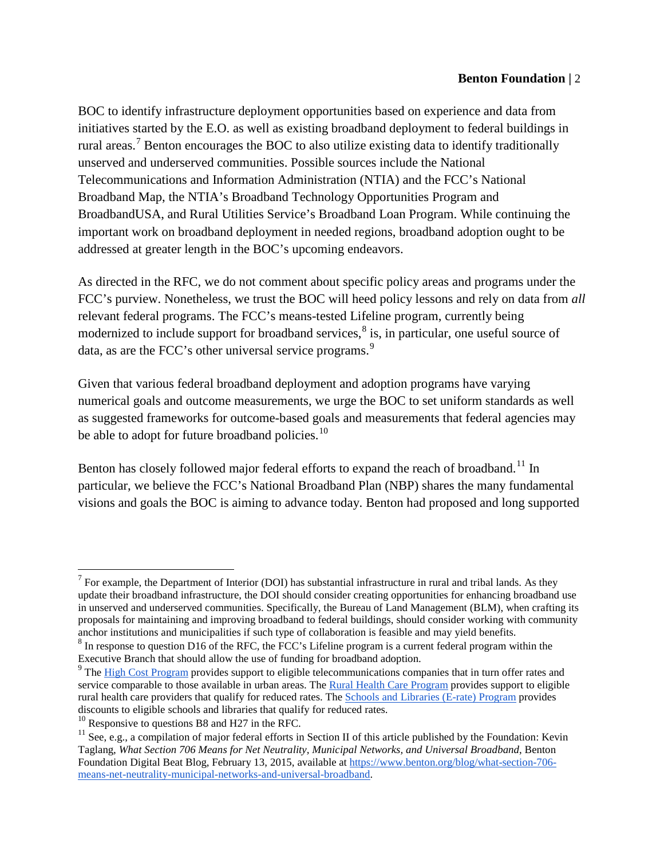BOC to identify infrastructure deployment opportunities based on experience and data from initiatives started by the E.O. as well as existing broadband deployment to federal buildings in rural areas.<sup>[7](#page-2-0)</sup> Benton encourages the BOC to also utilize existing data to identify traditionally unserved and underserved communities. Possible sources include the National Telecommunications and Information Administration (NTIA) and the FCC's National Broadband Map, the NTIA's Broadband Technology Opportunities Program and BroadbandUSA, and Rural Utilities Service's Broadband Loan Program. While continuing the important work on broadband deployment in needed regions, broadband adoption ought to be addressed at greater length in the BOC's upcoming endeavors.

As directed in the RFC, we do not comment about specific policy areas and programs under the FCC's purview. Nonetheless, we trust the BOC will heed policy lessons and rely on data from *all*  relevant federal programs. The FCC's means-tested Lifeline program, currently being modernized to include support for broadband services, $\delta$  is, in particular, one useful source of data, as are the FCC's other universal service programs.<sup>[9](#page-2-2)</sup>

Given that various federal broadband deployment and adoption programs have varying numerical goals and outcome measurements, we urge the BOC to set uniform standards as well as suggested frameworks for outcome-based goals and measurements that federal agencies may be able to adopt for future broadband policies. $10$ 

Benton has closely followed major federal efforts to expand the reach of broadband.<sup>[11](#page-2-4)</sup> In particular, we believe the FCC's National Broadband Plan (NBP) shares the many fundamental visions and goals the BOC is aiming to advance today. Benton had proposed and long supported

<span id="page-2-0"></span><sup>&</sup>lt;sup>7</sup> For example, the Department of Interior (DOI) has substantial infrastructure in rural and tribal lands. As they update their broadband infrastructure, the DOI should consider creating opportunities for enhancing broadband use in unserved and underserved communities. Specifically, the Bureau of Land Management (BLM), when crafting its proposals for maintaining and improving broadband to federal buildings, should consider working with community anchor institutions and municipalities if such type of collaboration is feasible and may yield benefits.

<span id="page-2-1"></span> $8$  In response to question D16 of the RFC, the FCC's Lifeline program is a current federal program within the Executive Branch that should allow the use of funding for broadband adoption.

<span id="page-2-2"></span><sup>&</sup>lt;sup>9</sup> The [High Cost Program](http://www.usac.org/hc/) provides support to eligible telecommunications companies that in turn offer rates and service comparable to those available in urban areas. Th[e Rural Health Care Program](http://www.usac.org/rhc/) provides support to eligible rural health care providers that qualify for reduced rates. The [Schools and Libraries \(E-rate\) Program](http://www.usac.org/sl/) provides discounts to eligible schools and libraries that qualify for reduced rates.

<span id="page-2-3"></span> $10$  Responsive to questions B8 and H27 in the RFC.

<span id="page-2-4"></span><sup>&</sup>lt;sup>11</sup> See, e.g., a compilation of major federal efforts in Section II of this article published by the Foundation: Kevin Taglang, *What Section 706 Means for Net Neutrality, Municipal Networks, and Universal Broadband*, Benton Foundation Digital Beat Blog, February 13, 2015, available at [https://www.benton.org/blog/what-section-706](https://www.benton.org/blog/what-section-706-means-net-neutrality-municipal-networks-and-universal-broadband) [means-net-neutrality-municipal-networks-and-universal-broadband.](https://www.benton.org/blog/what-section-706-means-net-neutrality-municipal-networks-and-universal-broadband)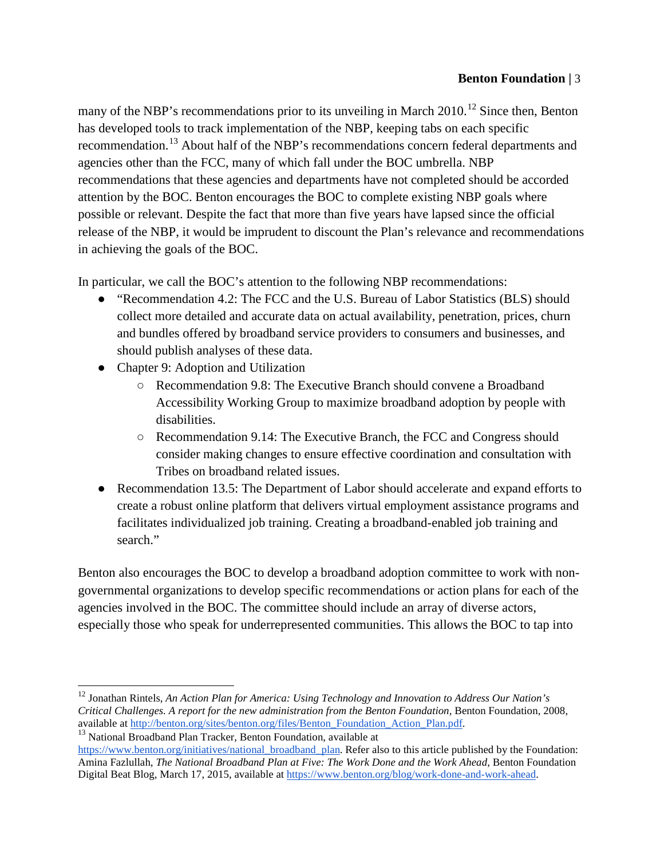many of the NBP's recommendations prior to its unveiling in March  $2010$ <sup>[12](#page-3-0)</sup> Since then, Benton has developed tools to track implementation of the NBP, keeping tabs on each specific recommendation.<sup>[13](#page-3-1)</sup> About half of the NBP's recommendations concern federal departments and agencies other than the FCC, many of which fall under the BOC umbrella. NBP recommendations that these agencies and departments have not completed should be accorded attention by the BOC. Benton encourages the BOC to complete existing NBP goals where possible or relevant. Despite the fact that more than five years have lapsed since the official release of the NBP, it would be imprudent to discount the Plan's relevance and recommendations in achieving the goals of the BOC.

In particular, we call the BOC's attention to the following NBP recommendations:

- "Recommendation 4.2: The FCC and the U.S. Bureau of Labor Statistics (BLS) should collect more detailed and accurate data on actual availability, penetration, prices, churn and bundles offered by broadband service providers to consumers and businesses, and should publish analyses of these data.
- Chapter 9: Adoption and Utilization
	- Recommendation 9.8: The Executive Branch should convene a Broadband Accessibility Working Group to maximize broadband adoption by people with disabilities.
	- Recommendation 9.14: The Executive Branch, the FCC and Congress should consider making changes to ensure effective coordination and consultation with Tribes on broadband related issues.
- Recommendation 13.5: The Department of Labor should accelerate and expand efforts to create a robust online platform that delivers virtual employment assistance programs and facilitates individualized job training. Creating a broadband-enabled job training and search."

Benton also encourages the BOC to develop a broadband adoption committee to work with nongovernmental organizations to develop specific recommendations or action plans for each of the agencies involved in the BOC. The committee should include an array of diverse actors, especially those who speak for underrepresented communities. This allows the BOC to tap into

```
\frac{13}{13} National Broadband Plan Tracker, Benton Foundation, available at
```
<span id="page-3-0"></span><sup>12</sup> Jonathan Rintels, *An Action Plan for America: Using Technology and Innovation to Address Our Nation's Critical Challenges. A report for the new administration from the Benton Foundation, Benton Foundation, 2008, available at http://benton.org/sites/benton.org/files/Benton Foundation Action Plan.pdf.* 

[https://www.benton.org/initiatives/national\\_broadband\\_plan.](https://www.benton.org/initiatives/national_broadband_plan) Refer also to this article published by the Foundation: Amina Fazlullah, *The National Broadband Plan at Five: The Work Done and the Work Ahead*, Benton Foundation Digital Beat Blog, March 17, 2015, available at [https://www.benton.org/blog/work-done-and-work-ahead.](https://www.benton.org/blog/work-done-and-work-ahead)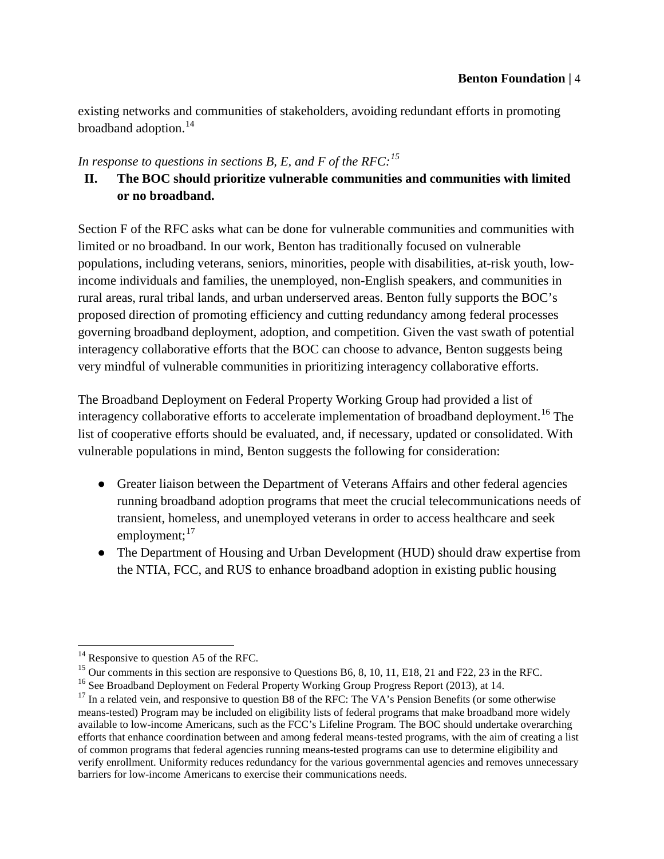existing networks and communities of stakeholders, avoiding redundant efforts in promoting broadband adoption. $14$ 

## *In response to questions in sections B, E, and F of the RFC:[15](#page-4-1)*

# **II. The BOC should prioritize vulnerable communities and communities with limited or no broadband.**

Section F of the RFC asks what can be done for vulnerable communities and communities with limited or no broadband. In our work, Benton has traditionally focused on vulnerable populations, including veterans, seniors, minorities, people with disabilities, at-risk youth, lowincome individuals and families, the unemployed, non-English speakers, and communities in rural areas, rural tribal lands, and urban underserved areas. Benton fully supports the BOC's proposed direction of promoting efficiency and cutting redundancy among federal processes governing broadband deployment, adoption, and competition. Given the vast swath of potential interagency collaborative efforts that the BOC can choose to advance, Benton suggests being very mindful of vulnerable communities in prioritizing interagency collaborative efforts.

The Broadband Deployment on Federal Property Working Group had provided a list of interagency collaborative efforts to accelerate implementation of broadband deployment.<sup>[16](#page-4-2)</sup> The list of cooperative efforts should be evaluated, and, if necessary, updated or consolidated. With vulnerable populations in mind, Benton suggests the following for consideration:

- Greater liaison between the Department of Veterans Affairs and other federal agencies running broadband adoption programs that meet the crucial telecommunications needs of transient, homeless, and unemployed veterans in order to access healthcare and seek employment; $^{17}$  $^{17}$  $^{17}$
- The Department of Housing and Urban Development (HUD) should draw expertise from the NTIA, FCC, and RUS to enhance broadband adoption in existing public housing

<span id="page-4-0"></span> $14$  Responsive to question A5 of the RFC.

<span id="page-4-1"></span><sup>&</sup>lt;sup>15</sup> Our comments in this section are responsive to Questions B6, 8, 10, 11, E18, 21 and F22, 23 in the RFC.

<span id="page-4-2"></span><sup>&</sup>lt;sup>16</sup> See Broadband Deployment on Federal Property Working Group Progress Report (2013), at 14.

<span id="page-4-3"></span><sup>&</sup>lt;sup>17</sup> In a related vein, and responsive to question B8 of the RFC: The VA's Pension Benefits (or some otherwise means-tested) Program may be included on eligibility lists of federal programs that make broadband more widely available to low-income Americans, such as the FCC's Lifeline Program. The BOC should undertake overarching efforts that enhance coordination between and among federal means-tested programs, with the aim of creating a list of common programs that federal agencies running means-tested programs can use to determine eligibility and verify enrollment. Uniformity reduces redundancy for the various governmental agencies and removes unnecessary barriers for low-income Americans to exercise their communications needs.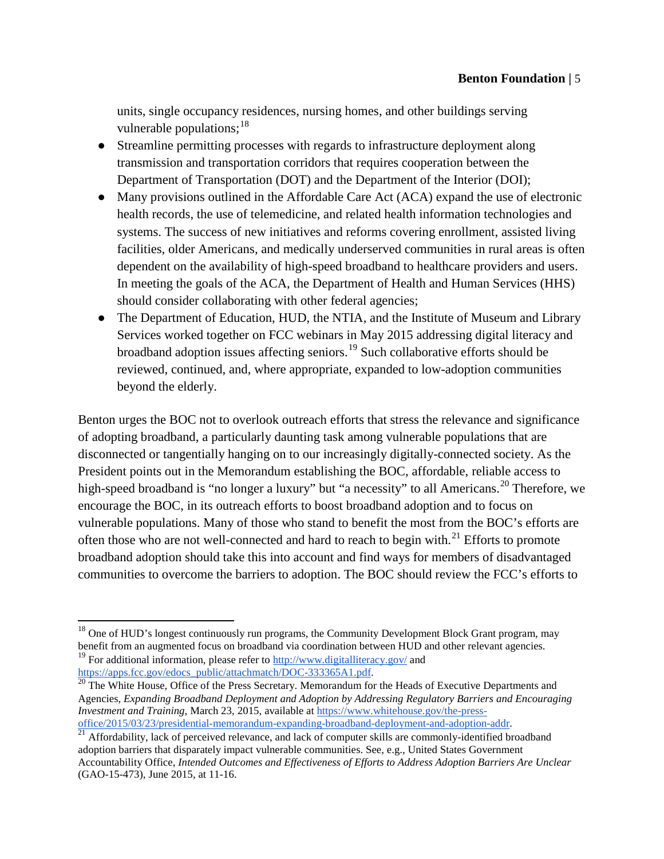units, single occupancy residences, nursing homes, and other buildings serving vulnerable populations:  $18<sup>18</sup>$  $18<sup>18</sup>$ 

- Streamline permitting processes with regards to infrastructure deployment along transmission and transportation corridors that requires cooperation between the Department of Transportation (DOT) and the Department of the Interior (DOI);
- Many provisions outlined in the Affordable Care Act (ACA) expand the use of electronic health records, the use of telemedicine, and related health information technologies and systems. The success of new initiatives and reforms covering enrollment, assisted living facilities, older Americans, and medically underserved communities in rural areas is often dependent on the availability of high-speed broadband to healthcare providers and users. In meeting the goals of the ACA, the Department of Health and Human Services (HHS) should consider collaborating with other federal agencies;
- The Department of Education, HUD, the NTIA, and the Institute of Museum and Library Services worked together on FCC webinars in May 2015 addressing digital literacy and broadband adoption issues affecting seniors.<sup>[19](#page-5-1)</sup> Such collaborative efforts should be reviewed, continued, and, where appropriate, expanded to low-adoption communities beyond the elderly.

Benton urges the BOC not to overlook outreach efforts that stress the relevance and significance of adopting broadband, a particularly daunting task among vulnerable populations that are disconnected or tangentially hanging on to our increasingly digitally-connected society. As the President points out in the Memorandum establishing the BOC, affordable, reliable access to high-speed broadband is "no longer a luxury" but "a necessity" to all Americans.<sup>[20](#page-5-2)</sup> Therefore, we encourage the BOC, in its outreach efforts to boost broadband adoption and to focus on vulnerable populations. Many of those who stand to benefit the most from the BOC's efforts are often those who are not well-connected and hard to reach to begin with. $^{21}$  $^{21}$  $^{21}$  Efforts to promote broadband adoption should take this into account and find ways for members of disadvantaged communities to overcome the barriers to adoption. The BOC should review the FCC's efforts to

<span id="page-5-1"></span><span id="page-5-0"></span> $18$  One of HUD's longest continuously run programs, the Community Development Block Grant program, may benefit from an augmented focus on broadband via coordination between HUD and other relevant agencies. <sup>19</sup> For additional information, please refer to  $\frac{http://www.digitaliteracy.gov/}{http://www.digitaliteracy.gov/}{$  and [https://apps.fcc.gov/edocs\\_public/attachmatch/DOC-333365A1.pdf.](https://apps.fcc.gov/edocs_public/attachmatch/DOC-333365A1.pdf) <sup>20</sup> The White House, Office of the Press Secretary. Memorandum for the Heads of Executive Departments and

<span id="page-5-2"></span>Agencies, *Expanding Broadband Deployment and Adoption by Addressing Regulatory Barriers and Encouraging Investment and Training*, March 23, 2015, available at https://www.whitehouse.gov/the-press-<br>office/2015/03/23/presidential-memorandum-expanding-broadband-deployment-and-adoption-addr.

<span id="page-5-3"></span><sup>&</sup>lt;sup>[21](https://www.whitehouse.gov/the-press-office/2015/03/23/presidential-memorandum-expanding-broadband-deployment-and-adoption-addr)</sup> Affordability, lack of perceived relevance, and lack of computer skills are commonly-identified broadband adoption barriers that disparately impact vulnerable communities. See, e.g., United States Government Accountability Office, *Intended Outcomes and Effectiveness of Efforts to Address Adoption Barriers Are Unclear* (GAO-15-473), June 2015, at 11-16.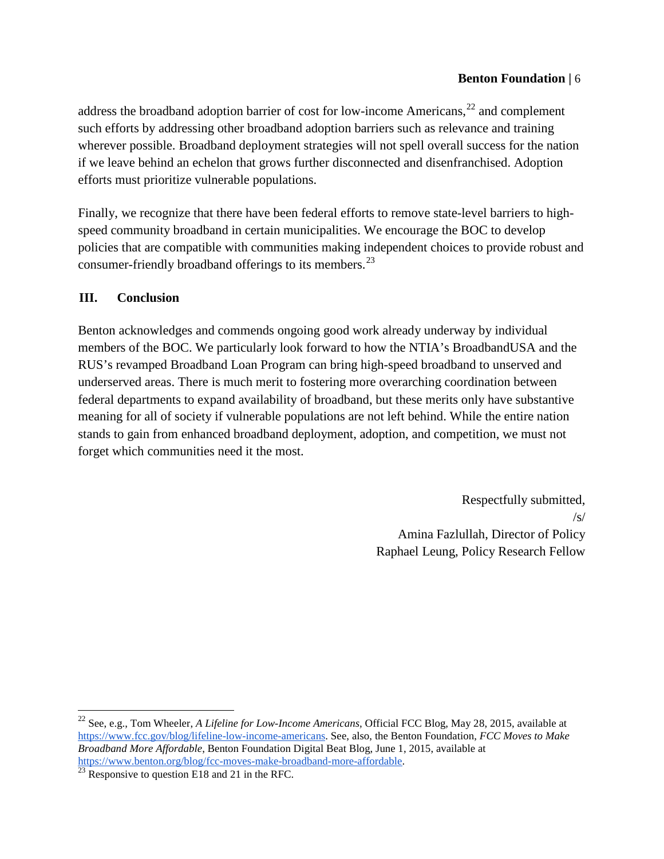address the broadband adoption barrier of cost for low-income Americans, $^{22}$  $^{22}$  $^{22}$  and complement such efforts by addressing other broadband adoption barriers such as relevance and training wherever possible. Broadband deployment strategies will not spell overall success for the nation if we leave behind an echelon that grows further disconnected and disenfranchised. Adoption efforts must prioritize vulnerable populations.

Finally, we recognize that there have been federal efforts to remove state-level barriers to highspeed community broadband in certain municipalities. We encourage the BOC to develop policies that are compatible with communities making independent choices to provide robust and consumer-friendly broadband offerings to its members.<sup>[23](#page-6-1)</sup>

### **III. Conclusion**

Benton acknowledges and commends ongoing good work already underway by individual members of the BOC. We particularly look forward to how the NTIA's BroadbandUSA and the RUS's revamped Broadband Loan Program can bring high-speed broadband to unserved and underserved areas. There is much merit to fostering more overarching coordination between federal departments to expand availability of broadband, but these merits only have substantive meaning for all of society if vulnerable populations are not left behind. While the entire nation stands to gain from enhanced broadband deployment, adoption, and competition, we must not forget which communities need it the most.

> Respectfully submitted,  $/s/$ Amina Fazlullah, Director of Policy Raphael Leung, Policy Research Fellow

<span id="page-6-0"></span><sup>22</sup> See, e.g., Tom Wheeler, *A Lifeline for Low-Income Americans,* Official FCC Blog, May 28, 2015, available at [https://www.fcc.gov/blog/lifeline-low-income-americans.](https://www.fcc.gov/blog/lifeline-low-income-americans) See, also, the Benton Foundation, *FCC Moves to Make Broadband More Affordable*, Benton Foundation Digital Beat Blog, June 1, 2015, available at [https://www.benton.org/blog/fcc-moves-make-broadband-more-affordable.](https://www.benton.org/blog/fcc-moves-make-broadband-more-affordable)<br><sup>[23](https://www.benton.org/blog/fcc-moves-make-broadband-more-affordable)</sup> Responsive to question E18 and 21 in the RFC.

<span id="page-6-1"></span>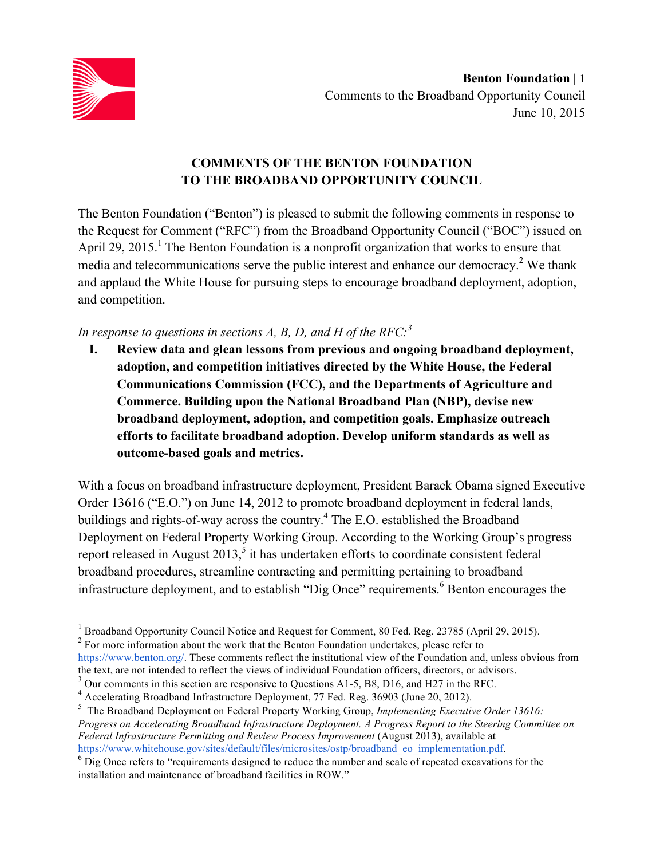

## **COMMENTS OF THE BENTON FOUNDATION TO THE BROADBAND OPPORTUNITY COUNCIL**

The Benton Foundation ("Benton") is pleased to submit the following comments in response to the Request for Comment ("RFC") from the Broadband Opportunity Council ("BOC") issued on April 29, 2015.<sup>1</sup> The Benton Foundation is a nonprofit organization that works to ensure that media and telecommunications serve the public interest and enhance our democracy.<sup>2</sup> We thank and applaud the White House for pursuing steps to encourage broadband deployment, adoption, and competition.

## *In response to questions in sections A, B, D, and H of the RFC:<sup>3</sup>*

**I. Review data and glean lessons from previous and ongoing broadband deployment, adoption, and competition initiatives directed by the White House, the Federal Communications Commission (FCC), and the Departments of Agriculture and Commerce. Building upon the National Broadband Plan (NBP), devise new broadband deployment, adoption, and competition goals. Emphasize outreach efforts to facilitate broadband adoption. Develop uniform standards as well as outcome-based goals and metrics.**

With a focus on broadband infrastructure deployment, President Barack Obama signed Executive Order 13616 ("E.O.") on June 14, 2012 to promote broadband deployment in federal lands, buildings and rights-of-way across the country.4 The E.O. established the Broadband Deployment on Federal Property Working Group. According to the Working Group's progress report released in August  $2013$ ,<sup>5</sup> it has undertaken efforts to coordinate consistent federal broadband procedures, streamline contracting and permitting pertaining to broadband infrastructure deployment, and to establish "Dig Once" requirements. <sup>6</sup> Benton encourages the

<sup>1</sup> Broadband Opportunity Council Notice and Request for Comment, 80 Fed. Reg. 23785 (April 29, 2015).

 $2^2$  For more information about the work that the Benton Foundation undertakes, please refer to

https://www.benton.org/. These comments reflect the institutional view of the Foundation and, unless obvious from the text, are not intended to reflect the views of individual Foundation officers, directors, or advisors.

 $3$  Our comments in this section are responsive to Questions A1-5, B8, D16, and H27 in the RFC.

<sup>4</sup> Accelerating Broadband Infrastructure Deployment, 77 Fed. Reg. 36903 (June 20, 2012).

<sup>5</sup> The Broadband Deployment on Federal Property Working Group, *Implementing Executive Order 13616: Progress on Accelerating Broadband Infrastructure Deployment. A Progress Report to the Steering Committee on Federal Infrastructure Permitting and Review Process Improvement* (August 2013), available at https://www.whitehouse.gov/sites/default/files/microsites/ostp/broadband\_eo\_implementation.pdf. <sup>6</sup> Dig Once refers to "requirements designed to reduce the number and scale of repeated excavations for the

installation and maintenance of broadband facilities in ROW."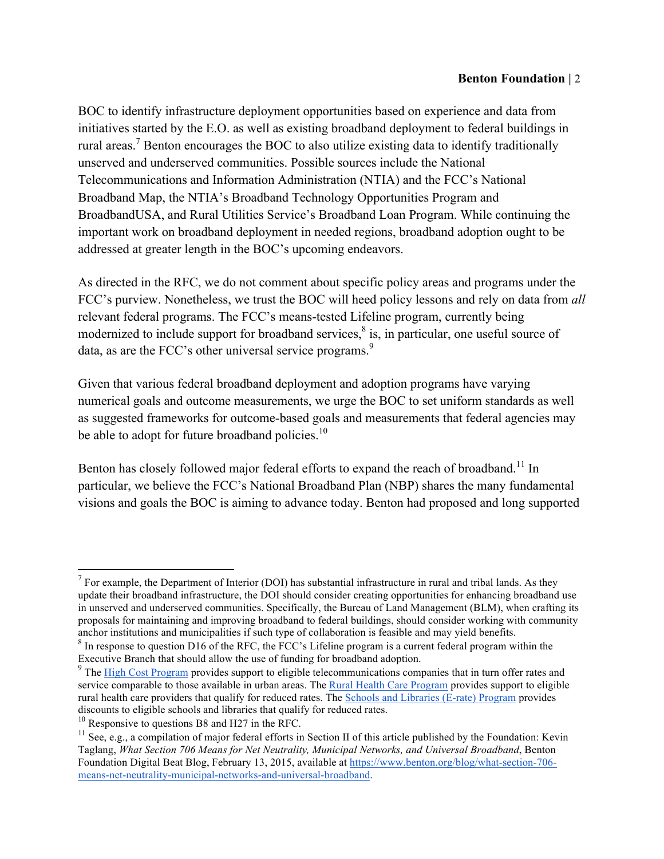BOC to identify infrastructure deployment opportunities based on experience and data from initiatives started by the E.O. as well as existing broadband deployment to federal buildings in rural areas.<sup>7</sup> Benton encourages the BOC to also utilize existing data to identify traditionally unserved and underserved communities. Possible sources include the National Telecommunications and Information Administration (NTIA) and the FCC's National Broadband Map, the NTIA's Broadband Technology Opportunities Program and BroadbandUSA, and Rural Utilities Service's Broadband Loan Program. While continuing the important work on broadband deployment in needed regions, broadband adoption ought to be addressed at greater length in the BOC's upcoming endeavors.

As directed in the RFC, we do not comment about specific policy areas and programs under the FCC's purview. Nonetheless, we trust the BOC will heed policy lessons and rely on data from *all*  relevant federal programs. The FCC's means-tested Lifeline program, currently being modernized to include support for broadband services, $\delta$  is, in particular, one useful source of data, as are the FCC's other universal service programs.<sup>9</sup>

Given that various federal broadband deployment and adoption programs have varying numerical goals and outcome measurements, we urge the BOC to set uniform standards as well as suggested frameworks for outcome-based goals and measurements that federal agencies may be able to adopt for future broadband policies.<sup>10</sup>

Benton has closely followed major federal efforts to expand the reach of broadband.<sup>11</sup> In particular, we believe the FCC's National Broadband Plan (NBP) shares the many fundamental visions and goals the BOC is aiming to advance today. Benton had proposed and long supported

 $<sup>7</sup>$  For example, the Department of Interior (DOI) has substantial infrastructure in rural and tribal lands. As they</sup> update their broadband infrastructure, the DOI should consider creating opportunities for enhancing broadband use in unserved and underserved communities. Specifically, the Bureau of Land Management (BLM), when crafting its proposals for maintaining and improving broadband to federal buildings, should consider working with community anchor institutions and municipalities if such type of collaboration is feasible and may yield benefits.

 $8$  In response to question D16 of the RFC, the FCC's Lifeline program is a current federal program within the Executive Branch that should allow the use of funding for broadband adoption.

<sup>&</sup>lt;sup>9</sup> The High Cost Program provides support to eligible telecommunications companies that in turn offer rates and service comparable to those available in urban areas. The Rural Health Care Program provides support to eligible rural health care providers that qualify for reduced rates. The Schools and Libraries (E-rate) Program provides discounts to eligible schools and libraries that qualify for reduced rates.

 $10$  Responsive to questions B8 and H27 in the RFC.

 $11$  See, e.g., a compilation of major federal efforts in Section II of this article published by the Foundation: Kevin Taglang, *What Section 706 Means for Net Neutrality, Municipal Networks, and Universal Broadband*, Benton Foundation Digital Beat Blog, February 13, 2015, available at https://www.benton.org/blog/what-section-706 means-net-neutrality-municipal-networks-and-universal-broadband.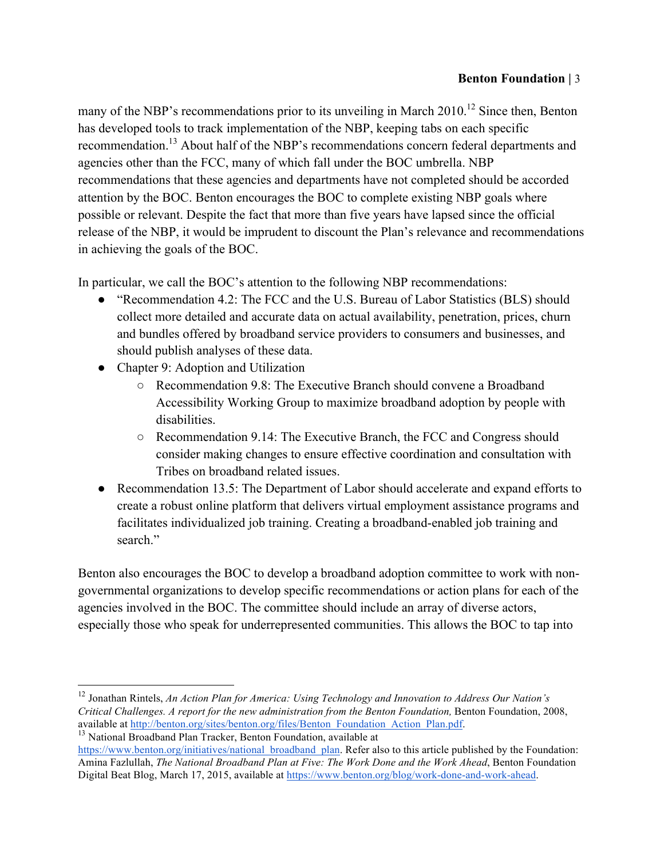many of the NBP's recommendations prior to its unveiling in March  $2010$ <sup>12</sup> Since then, Benton has developed tools to track implementation of the NBP, keeping tabs on each specific recommendation.<sup>13</sup> About half of the NBP's recommendations concern federal departments and agencies other than the FCC, many of which fall under the BOC umbrella. NBP recommendations that these agencies and departments have not completed should be accorded attention by the BOC. Benton encourages the BOC to complete existing NBP goals where possible or relevant. Despite the fact that more than five years have lapsed since the official release of the NBP, it would be imprudent to discount the Plan's relevance and recommendations in achieving the goals of the BOC.

In particular, we call the BOC's attention to the following NBP recommendations:

- "Recommendation 4.2: The FCC and the U.S. Bureau of Labor Statistics (BLS) should collect more detailed and accurate data on actual availability, penetration, prices, churn and bundles offered by broadband service providers to consumers and businesses, and should publish analyses of these data.
- Chapter 9: Adoption and Utilization
	- Recommendation 9.8: The Executive Branch should convene a Broadband Accessibility Working Group to maximize broadband adoption by people with disabilities.
	- Recommendation 9.14: The Executive Branch, the FCC and Congress should consider making changes to ensure effective coordination and consultation with Tribes on broadband related issues.
- Recommendation 13.5: The Department of Labor should accelerate and expand efforts to create a robust online platform that delivers virtual employment assistance programs and facilitates individualized job training. Creating a broadband-enabled job training and search."

Benton also encourages the BOC to develop a broadband adoption committee to work with nongovernmental organizations to develop specific recommendations or action plans for each of the agencies involved in the BOC. The committee should include an array of diverse actors, especially those who speak for underrepresented communities. This allows the BOC to tap into

```
\frac{13}{13} National Broadband Plan Tracker, Benton Foundation, available at
```
https://www.benton.org/initiatives/national\_broadband\_plan. Refer also to this article published by the Foundation: Amina Fazlullah, *The National Broadband Plan at Five: The Work Done and the Work Ahead*, Benton Foundation Digital Beat Blog, March 17, 2015, available at https://www.benton.org/blog/work-done-and-work-ahead.

<sup>12</sup> Jonathan Rintels, *An Action Plan for America: Using Technology and Innovation to Address Our Nation's Critical Challenges. A report for the new administration from the Benton Foundation,* Benton Foundation, 2008,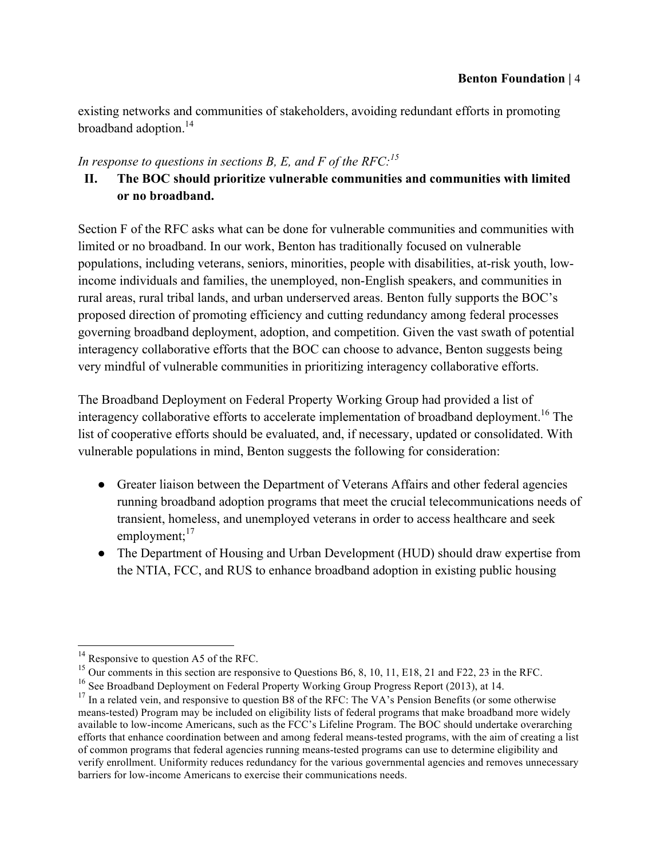existing networks and communities of stakeholders, avoiding redundant efforts in promoting broadband adoption.<sup>14</sup>

### *In response to questions in sections B, E, and F of the RFC:<sup>15</sup>*

# **II. The BOC should prioritize vulnerable communities and communities with limited or no broadband.**

Section F of the RFC asks what can be done for vulnerable communities and communities with limited or no broadband. In our work, Benton has traditionally focused on vulnerable populations, including veterans, seniors, minorities, people with disabilities, at-risk youth, lowincome individuals and families, the unemployed, non-English speakers, and communities in rural areas, rural tribal lands, and urban underserved areas. Benton fully supports the BOC's proposed direction of promoting efficiency and cutting redundancy among federal processes governing broadband deployment, adoption, and competition. Given the vast swath of potential interagency collaborative efforts that the BOC can choose to advance, Benton suggests being very mindful of vulnerable communities in prioritizing interagency collaborative efforts.

The Broadband Deployment on Federal Property Working Group had provided a list of interagency collaborative efforts to accelerate implementation of broadband deployment.<sup>16</sup> The list of cooperative efforts should be evaluated, and, if necessary, updated or consolidated. With vulnerable populations in mind, Benton suggests the following for consideration:

- Greater liaison between the Department of Veterans Affairs and other federal agencies running broadband adoption programs that meet the crucial telecommunications needs of transient, homeless, and unemployed veterans in order to access healthcare and seek employment; $^{17}$
- The Department of Housing and Urban Development (HUD) should draw expertise from the NTIA, FCC, and RUS to enhance broadband adoption in existing public housing

 $^{14}$  Responsive to question A5 of the RFC.

<sup>&</sup>lt;sup>15</sup> Our comments in this section are responsive to Questions B6, 8, 10, 11, E18, 21 and F22, 23 in the RFC.

<sup>&</sup>lt;sup>16</sup> See Broadband Deployment on Federal Property Working Group Progress Report (2013), at 14.

<sup>&</sup>lt;sup>17</sup> In a related vein, and responsive to question B8 of the RFC: The VA's Pension Benefits (or some otherwise means-tested) Program may be included on eligibility lists of federal programs that make broadband more widely available to low-income Americans, such as the FCC's Lifeline Program. The BOC should undertake overarching efforts that enhance coordination between and among federal means-tested programs, with the aim of creating a list of common programs that federal agencies running means-tested programs can use to determine eligibility and verify enrollment. Uniformity reduces redundancy for the various governmental agencies and removes unnecessary barriers for low-income Americans to exercise their communications needs.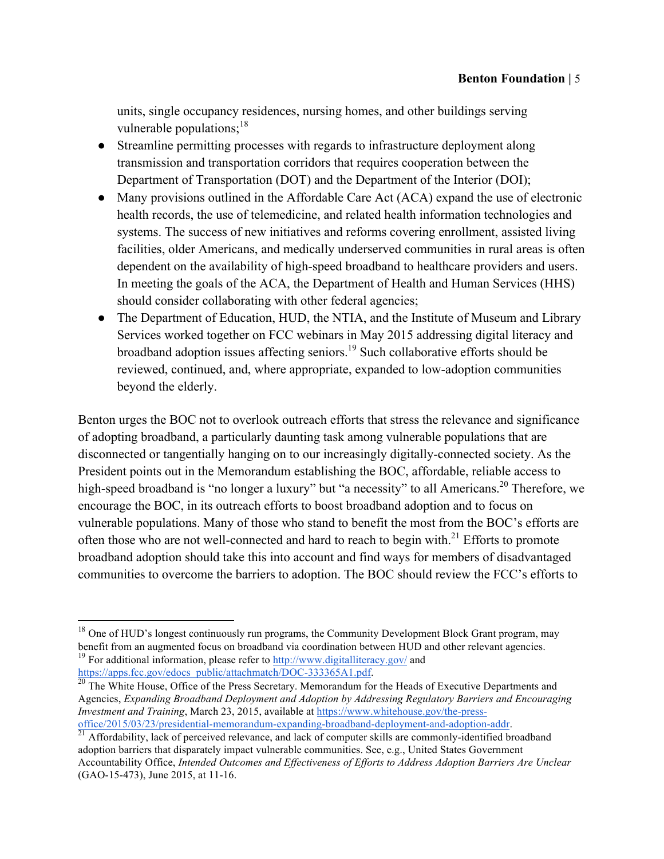units, single occupancy residences, nursing homes, and other buildings serving vulnerable populations;  $18$ 

- Streamline permitting processes with regards to infrastructure deployment along transmission and transportation corridors that requires cooperation between the Department of Transportation (DOT) and the Department of the Interior (DOI);
- Many provisions outlined in the Affordable Care Act (ACA) expand the use of electronic health records, the use of telemedicine, and related health information technologies and systems. The success of new initiatives and reforms covering enrollment, assisted living facilities, older Americans, and medically underserved communities in rural areas is often dependent on the availability of high-speed broadband to healthcare providers and users. In meeting the goals of the ACA, the Department of Health and Human Services (HHS) should consider collaborating with other federal agencies;
- The Department of Education, HUD, the NTIA, and the Institute of Museum and Library Services worked together on FCC webinars in May 2015 addressing digital literacy and broadband adoption issues affecting seniors.19 Such collaborative efforts should be reviewed, continued, and, where appropriate, expanded to low-adoption communities beyond the elderly.

Benton urges the BOC not to overlook outreach efforts that stress the relevance and significance of adopting broadband, a particularly daunting task among vulnerable populations that are disconnected or tangentially hanging on to our increasingly digitally-connected society. As the President points out in the Memorandum establishing the BOC, affordable, reliable access to high-speed broadband is "no longer a luxury" but "a necessity" to all Americans.<sup>20</sup> Therefore, we encourage the BOC, in its outreach efforts to boost broadband adoption and to focus on vulnerable populations. Many of those who stand to benefit the most from the BOC's efforts are often those who are not well-connected and hard to reach to begin with. $2<sup>1</sup>$  Efforts to promote broadband adoption should take this into account and find ways for members of disadvantaged communities to overcome the barriers to adoption. The BOC should review the FCC's efforts to

 $18$  One of HUD's longest continuously run programs, the Community Development Block Grant program, may benefit from an augmented focus on broadband via coordination between HUD and other relevant agencies. <sup>19</sup> For additional information, please refer to  $\frac{http://www.digitalliteracy.gov/}{http://www.digitalliteracy.gov/}{$ https://apps.fcc.gov/edocs\_public/attachmatch/DOC-333365A1.pdf. <sup>20</sup> The White House, Office of the Press Secretary. Memorandum for the Heads of Executive Departments and

Agencies, *Expanding Broadband Deployment and Adoption by Addressing Regulatory Barriers and Encouraging Investment and Training*, March 23, 2015, available at https://www.whitehouse.gov/the-press-<br>office/2015/03/23/presidential-memorandum-expanding-broadband-deployment-and-adoption-addr.

 $\frac{21}{21}$  Affordability, lack of perceived relevance, and lack of computer skills are commonly-identified broadband adoption barriers that disparately impact vulnerable communities. See, e.g., United States Government Accountability Office, *Intended Outcomes and Effectiveness of Efforts to Address Adoption Barriers Are Unclear* (GAO-15-473), June 2015, at 11-16.